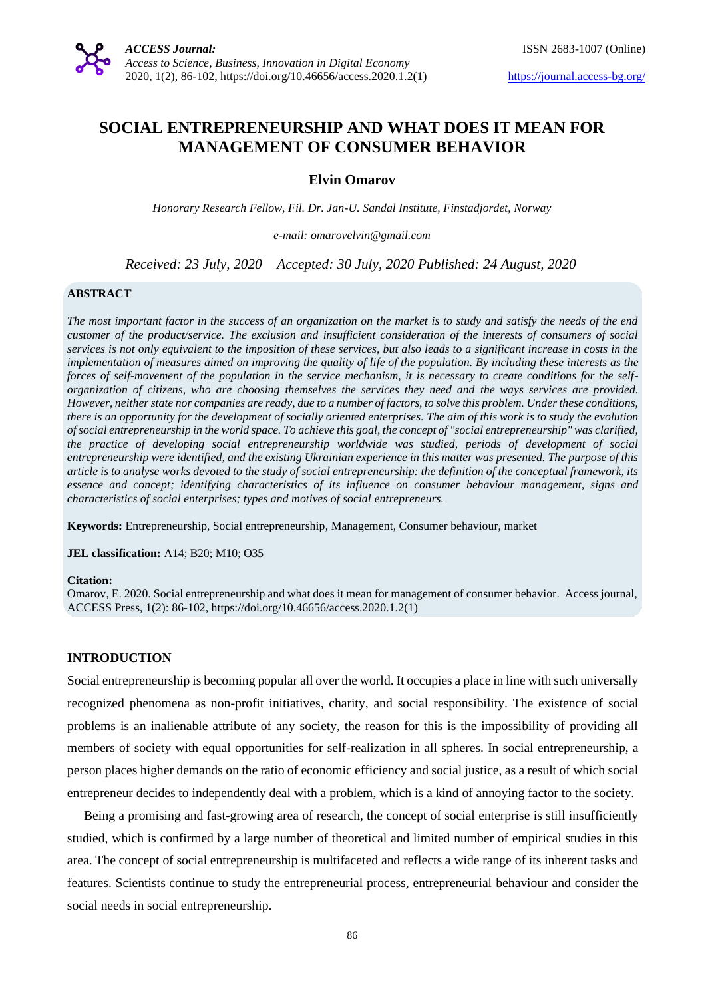# **SOCIAL ENTREPRENEURSHIP AND WHAT DOES IT MEAN FOR MANAGEMENT OF CONSUMER BEHAVIOR**

# **Elvin Omarov**

*Honorary Research Fellow, Fil. Dr. Jan-U. Sandal Institute, Finstadjordet, Norway*

*e-mail: omarovelvin@gmail.com*

*Received: 23 July, 2020 Accepted: 30 July, 2020 Published: 24 August, 2020*

#### **ABSTRACT**

*The most important factor in the success of an organization on the market is to study and satisfy the needs of the end customer of the product/service. The exclusion and insufficient consideration of the interests of consumers of social services is not only equivalent to the imposition of these services, but also leads to a significant increase in costs in the implementation of measures aimed on improving the quality of life of the population. By including these interests as the forces of self-movement of the population in the service mechanism, it is necessary to create conditions for the selforganization of citizens, who are choosing themselves the services they need and the ways services are provided. However, neither state nor companies are ready, due to a number of factors, to solve this problem. Under these conditions, there is an opportunity for the development of socially oriented enterprises. The aim of this work is to study the evolution of social entrepreneurship in the world space. To achieve this goal, the concept of "social entrepreneurship" was clarified, the practice of developing social entrepreneurship worldwide was studied, periods of development of social entrepreneurship were identified, and the existing Ukrainian experience in this matter was presented. The purpose of this article is to analyse works devoted to the study of social entrepreneurship: the definition of the conceptual framework, its essence and concept; identifying characteristics of its influence on consumer behaviour management, signs and characteristics of social enterprises; types and motives of social entrepreneurs.*

**Keywords:** Entrepreneurship, Social entrepreneurship, Management, Consumer behaviour, market

**JEL classification:** A14; B20; M10; O35

#### **Citation:**

Omarov, E. 2020. Social entrepreneurship and what does it mean for management of consumer behavior. Access journal, ACCESS Press, 1(2): 86-102, https://doi.org/10.46656/access.2020.1.2(1)

#### **INTRODUCTION**

Social entrepreneurship is becoming popular all over the world. It occupies a place in line with such universally recognized phenomena as non-profit initiatives, charity, and social responsibility. The existence of social problems is an inalienable attribute of any society, the reason for this is the impossibility of providing all members of society with equal opportunities for self-realization in all spheres. In social entrepreneurship, a person places higher demands on the ratio of economic efficiency and social justice, as a result of which social entrepreneur decides to independently deal with a problem, which is a kind of annoying factor to the society.

Being a promising and fast-growing area of research, the concept of social enterprise is still insufficiently studied, which is confirmed by a large number of theoretical and limited number of empirical studies in this area. The concept of social entrepreneurship is multifaceted and reflects a wide range of its inherent tasks and features. Scientists continue to study the entrepreneurial process, entrepreneurial behaviour and consider the social needs in social entrepreneurship.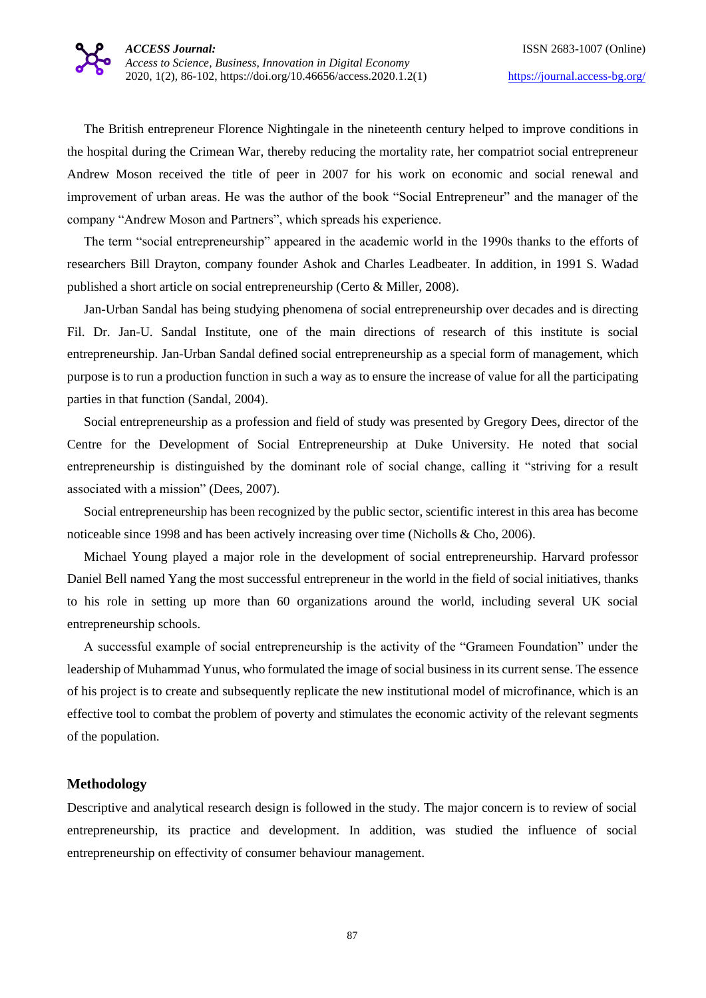The British entrepreneur Florence Nightingale in the nineteenth century helped to improve conditions in the hospital during the Crimean War, thereby reducing the mortality rate, her compatriot social entrepreneur Andrew Moson received the title of peer in 2007 for his work on economic and social renewal and improvement of urban areas. He was the author of the book "Social Entrepreneur" and the manager of the company "Andrew Moson and Partners", which spreads his experience.

The term "social entrepreneurship" appeared in the academic world in the 1990s thanks to the efforts of researchers Bill Drayton, company founder Ashok and Charles Leadbeater. In addition, in 1991 S. Wadad published a short article on social entrepreneurship (Certo & Miller, 2008).

Jan-Urban Sandal has being studying phenomena of social entrepreneurship over decades and is directing Fil. Dr. Jan-U. Sandal Institute, one of the main directions of research of this institute is social entrepreneurship. Jan-Urban Sandal defined social entrepreneurship as a special form of management, which purpose is to run a production function in such a way as to ensure the increase of value for all the participating parties in that function (Sandal, 2004).

Social entrepreneurship as a profession and field of study was presented by Gregory Dees, director of the Centre for the Development of Social Entrepreneurship at Duke University. He noted that social entrepreneurship is distinguished by the dominant role of social change, calling it "striving for a result associated with a mission" (Dees, 2007).

Social entrepreneurship has been recognized by the public sector, scientific interest in this area has become noticeable since 1998 and has been actively increasing over time (Nicholls & Cho, 2006).

Michael Young played a major role in the development of social entrepreneurship. Harvard professor Daniel Bell named Yang the most successful entrepreneur in the world in the field of social initiatives, thanks to his role in setting up more than 60 organizations around the world, including several UK social entrepreneurship schools.

A successful example of social entrepreneurship is the activity of the "Grameen Foundation" under the leadership of Muhammad Yunus, who formulated the image of social business in its current sense. The essence of his project is to create and subsequently replicate the new institutional model of microfinance, which is an effective tool to combat the problem of poverty and stimulates the economic activity of the relevant segments of the population.

### **Methodology**

Descriptive and analytical research design is followed in the study. The major concern is to review of social entrepreneurship, its practice and development. In addition, was studied the influence of social entrepreneurship on effectivity of consumer behaviour management.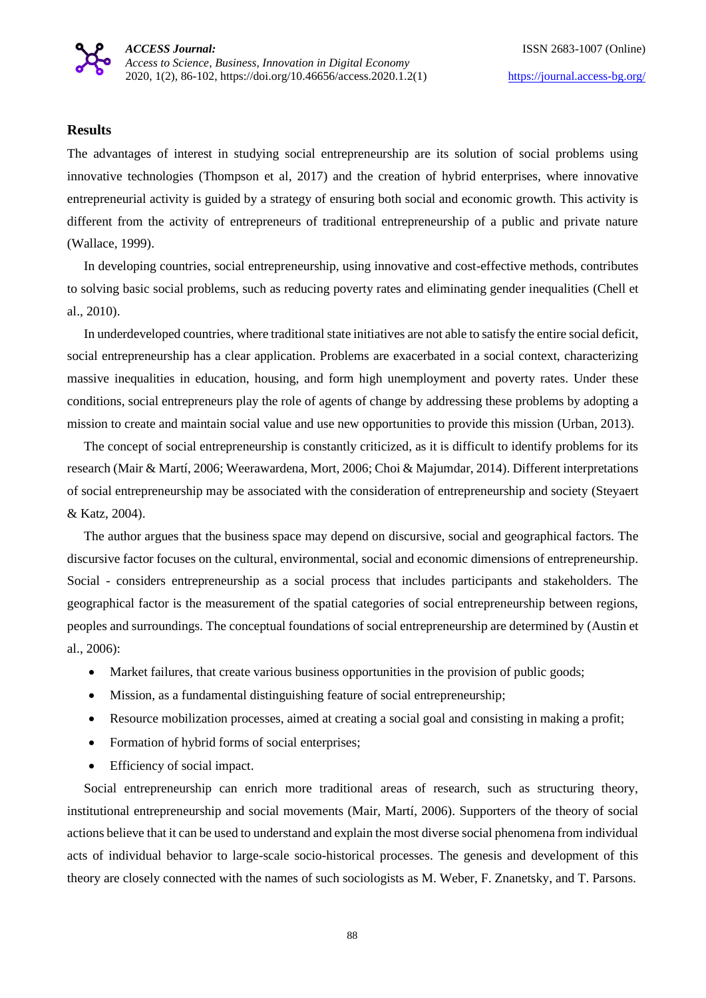## **Results**

The advantages of interest in studying social entrepreneurship are its solution of social problems using innovative technologies (Thompson et al, 2017) and the creation of hybrid enterprises, where innovative entrepreneurial activity is guided by a strategy of ensuring both social and economic growth. This activity is different from the activity of entrepreneurs of traditional entrepreneurship of a public and private nature (Wallace, 1999).

In developing countries, social entrepreneurship, using innovative and cost-effective methods, contributes to solving basic social problems, such as reducing poverty rates and eliminating gender inequalities (Chell et al., 2010).

In underdeveloped countries, where traditional state initiatives are not able to satisfy the entire social deficit, social entrepreneurship has a clear application. Problems are exacerbated in a social context, characterizing massive inequalities in education, housing, and form high unemployment and poverty rates. Under these conditions, social entrepreneurs play the role of agents of change by addressing these problems by adopting a mission to create and maintain social value and use new opportunities to provide this mission (Urban, 2013).

The concept of social entrepreneurship is constantly criticized, as it is difficult to identify problems for its research (Mair & Martí, 2006; Weerawardena, Mort, 2006; Choi & Majumdar, 2014). Different interpretations of social entrepreneurship may be associated with the consideration of entrepreneurship and society (Steyaert & Katz, 2004).

The author argues that the business space may depend on discursive, social and geographical factors. The discursive factor focuses on the cultural, environmental, social and economic dimensions of entrepreneurship. Social - considers entrepreneurship as a social process that includes participants and stakeholders. The geographical factor is the measurement of the spatial categories of social entrepreneurship between regions, peoples and surroundings. The conceptual foundations of social entrepreneurship are determined by (Austin et al., 2006):

- Market failures, that create various business opportunities in the provision of public goods;
- Mission, as a fundamental distinguishing feature of social entrepreneurship;
- Resource mobilization processes, aimed at creating a social goal and consisting in making a profit;
- Formation of hybrid forms of social enterprises;
- Efficiency of social impact.

Social entrepreneurship can enrich more traditional areas of research, such as structuring theory, institutional entrepreneurship and social movements (Mair, Martí, 2006). Supporters of the theory of social actions believe that it can be used to understand and explain the most diverse social phenomena from individual acts of individual behavior to large-scale socio-historical processes. The genesis and development of this theory are closely connected with the names of such sociologists as M. Weber, F. Znanetsky, and T. Parsons.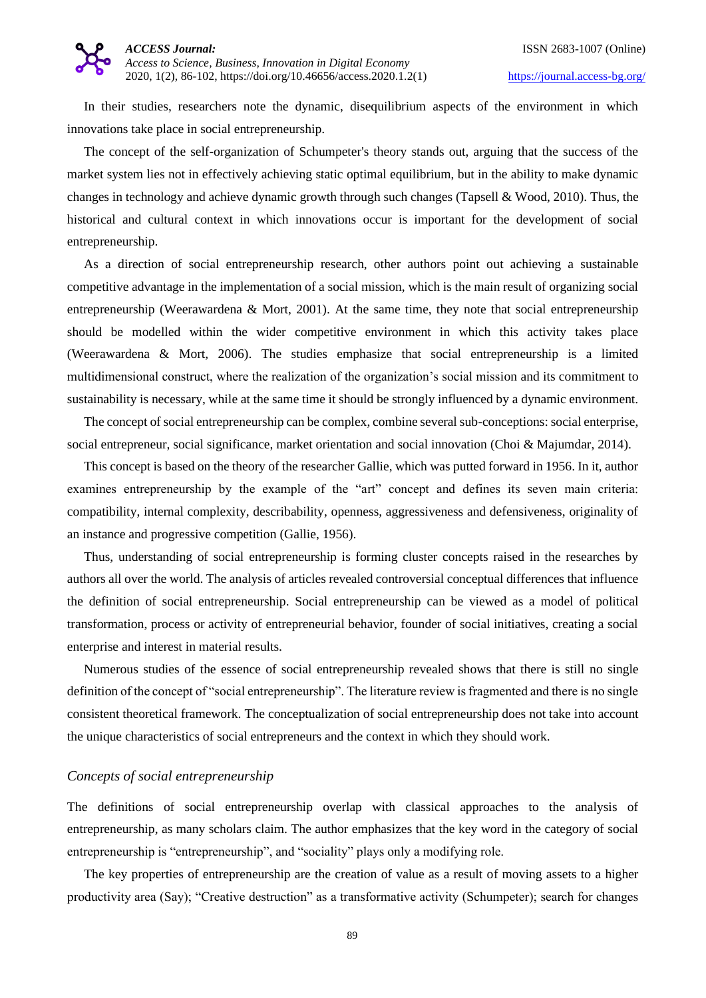

In their studies, researchers note the dynamic, disequilibrium aspects of the environment in which innovations take place in social entrepreneurship.

The concept of the self-organization of Schumpeter's theory stands out, arguing that the success of the market system lies not in effectively achieving static optimal equilibrium, but in the ability to make dynamic changes in technology and achieve dynamic growth through such changes (Tapsell & Wood, 2010). Thus, the historical and cultural context in which innovations occur is important for the development of social entrepreneurship.

As a direction of social entrepreneurship research, other authors point out achieving a sustainable competitive advantage in the implementation of a social mission, which is the main result of organizing social entrepreneurship (Weerawardena & Mort, 2001). At the same time, they note that social entrepreneurship should be modelled within the wider competitive environment in which this activity takes place (Weerawardena & Mort, 2006). The studies emphasize that social entrepreneurship is a limited multidimensional construct, where the realization of the organization's social mission and its commitment to sustainability is necessary, while at the same time it should be strongly influenced by a dynamic environment.

The concept of social entrepreneurship can be complex, combine several sub-conceptions: social enterprise, social entrepreneur, social significance, market orientation and social innovation (Choi & Majumdar, 2014).

This concept is based on the theory of the researcher Gallie, which was putted forward in 1956. In it, author examines entrepreneurship by the example of the "art" concept and defines its seven main criteria: compatibility, internal complexity, describability, openness, aggressiveness and defensiveness, originality of an instance and progressive competition (Gallie, 1956).

Thus, understanding of social entrepreneurship is forming cluster concepts raised in the researches by authors all over the world. The analysis of articles revealed controversial conceptual differences that influence the definition of social entrepreneurship. Social entrepreneurship can be viewed as a model of political transformation, process or activity of entrepreneurial behavior, founder of social initiatives, creating a social enterprise and interest in material results.

Numerous studies of the essence of social entrepreneurship revealed shows that there is still no single definition of the concept of "social entrepreneurship". The literature review is fragmented and there is no single consistent theoretical framework. The conceptualization of social entrepreneurship does not take into account the unique characteristics of social entrepreneurs and the context in which they should work.

## *Concepts of social entrepreneurship*

The definitions of social entrepreneurship overlap with classical approaches to the analysis of entrepreneurship, as many scholars claim. The author emphasizes that the key word in the category of social entrepreneurship is "entrepreneurship", and "sociality" plays only a modifying role.

The key properties of entrepreneurship are the creation of value as a result of moving assets to a higher productivity area (Say); "Creative destruction" as a transformative activity (Schumpeter); search for changes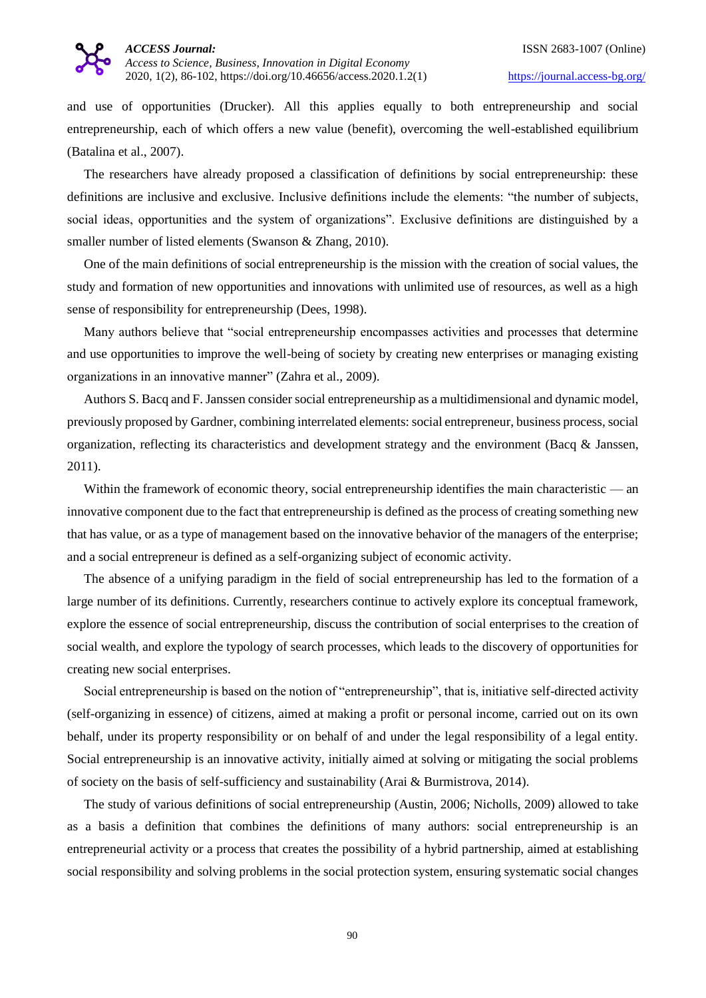and use of opportunities (Drucker). All this applies equally to both entrepreneurship and social entrepreneurship, each of which offers a new value (benefit), overcoming the well-established equilibrium (Batalina et al., 2007).

The researchers have already proposed a classification of definitions by social entrepreneurship: these definitions are inclusive and exclusive. Inclusive definitions include the elements: "the number of subjects, social ideas, opportunities and the system of organizations". Exclusive definitions are distinguished by a smaller number of listed elements (Swanson & Zhang, 2010).

One of the main definitions of social entrepreneurship is the mission with the creation of social values, the study and formation of new opportunities and innovations with unlimited use of resources, as well as a high sense of responsibility for entrepreneurship (Dees, 1998).

Many authors believe that "social entrepreneurship encompasses activities and processes that determine and use opportunities to improve the well-being of society by creating new enterprises or managing existing organizations in an innovative manner" (Zahra et al., 2009).

Authors S. Bacq and F. Janssen consider social entrepreneurship as a multidimensional and dynamic model, previously proposed by Gardner, combining interrelated elements: social entrepreneur, business process, social organization, reflecting its characteristics and development strategy and the environment (Bacq & Janssen, 2011).

Within the framework of economic theory, social entrepreneurship identifies the main characteristic — an innovative component due to the fact that entrepreneurship is defined as the process of creating something new that has value, or as a type of management based on the innovative behavior of the managers of the enterprise; and a social entrepreneur is defined as a self-organizing subject of economic activity.

The absence of a unifying paradigm in the field of social entrepreneurship has led to the formation of a large number of its definitions. Currently, researchers continue to actively explore its conceptual framework, explore the essence of social entrepreneurship, discuss the contribution of social enterprises to the creation of social wealth, and explore the typology of search processes, which leads to the discovery of opportunities for creating new social enterprises.

Social entrepreneurship is based on the notion of "entrepreneurship", that is, initiative self-directed activity (self-organizing in essence) of citizens, aimed at making a profit or personal income, carried out on its own behalf, under its property responsibility or on behalf of and under the legal responsibility of a legal entity. Social entrepreneurship is an innovative activity, initially aimed at solving or mitigating the social problems of society on the basis of self-sufficiency and sustainability (Arai & Burmistrova, 2014).

The study of various definitions of social entrepreneurship (Austin, 2006; Nicholls, 2009) allowed to take as a basis a definition that combines the definitions of many authors: social entrepreneurship is an entrepreneurial activity or a process that creates the possibility of a hybrid partnership, aimed at establishing social responsibility and solving problems in the social protection system, ensuring systematic social changes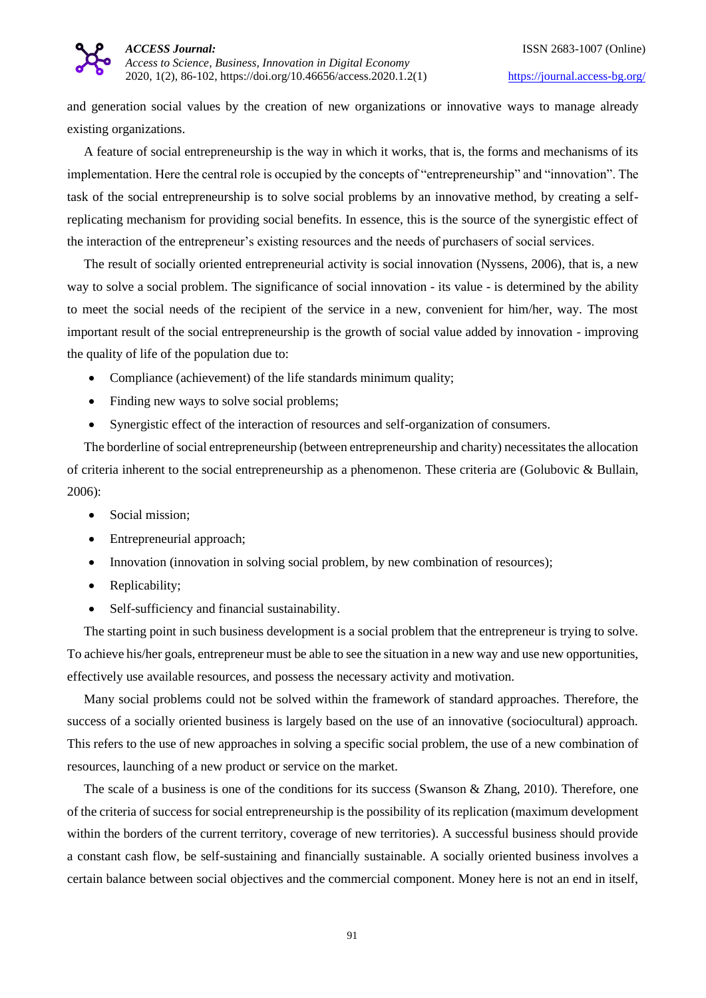and generation social values by the creation of new organizations or innovative ways to manage already existing organizations.

A feature of social entrepreneurship is the way in which it works, that is, the forms and mechanisms of its implementation. Here the central role is occupied by the concepts of "entrepreneurship" and "innovation". The task of the social entrepreneurship is to solve social problems by an innovative method, by creating a selfreplicating mechanism for providing social benefits. In essence, this is the source of the synergistic effect of the interaction of the entrepreneur's existing resources and the needs of purchasers of social services.

The result of socially oriented entrepreneurial activity is social innovation (Nyssens, 2006), that is, a new way to solve a social problem. The significance of social innovation - its value - is determined by the ability to meet the social needs of the recipient of the service in a new, convenient for him/her, way. The most important result of the social entrepreneurship is the growth of social value added by innovation - improving the quality of life of the population due to:

- Compliance (achievement) of the life standards minimum quality;
- Finding new ways to solve social problems;
- Synergistic effect of the interaction of resources and self-organization of consumers.

The borderline of social entrepreneurship (between entrepreneurship and charity) necessitates the allocation of criteria inherent to the social entrepreneurship as a phenomenon. These criteria are (Golubovic & Bullain, 2006):

- Social mission;
- Entrepreneurial approach;
- Innovation (innovation in solving social problem, by new combination of resources);
- Replicability;
- Self-sufficiency and financial sustainability.

The starting point in such business development is a social problem that the entrepreneur is trying to solve. To achieve his/her goals, entrepreneur must be able to see the situation in a new way and use new opportunities, effectively use available resources, and possess the necessary activity and motivation.

Many social problems could not be solved within the framework of standard approaches. Therefore, the success of a socially oriented business is largely based on the use of an innovative (sociocultural) approach. This refers to the use of new approaches in solving a specific social problem, the use of a new combination of resources, launching of a new product or service on the market.

The scale of a business is one of the conditions for its success (Swanson & Zhang, 2010). Therefore, one of the criteria of success for social entrepreneurship is the possibility of its replication (maximum development within the borders of the current territory, coverage of new territories). A successful business should provide a constant cash flow, be self-sustaining and financially sustainable. A socially oriented business involves a certain balance between social objectives and the commercial component. Money here is not an end in itself,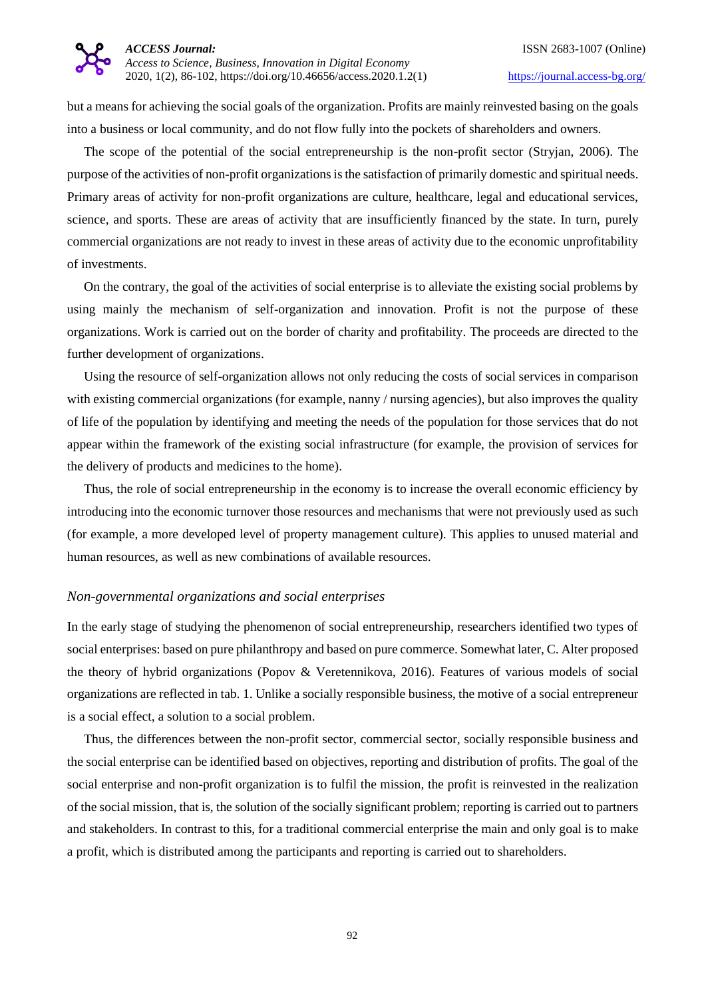but a means for achieving the social goals of the organization. Profits are mainly reinvested basing on the goals into a business or local community, and do not flow fully into the pockets of shareholders and owners.

The scope of the potential of the social entrepreneurship is the non-profit sector (Stryjan, 2006). The purpose of the activities of non-profit organizations is the satisfaction of primarily domestic and spiritual needs. Primary areas of activity for non-profit organizations are culture, healthcare, legal and educational services, science, and sports. These are areas of activity that are insufficiently financed by the state. In turn, purely commercial organizations are not ready to invest in these areas of activity due to the economic unprofitability of investments.

On the contrary, the goal of the activities of social enterprise is to alleviate the existing social problems by using mainly the mechanism of self-organization and innovation. Profit is not the purpose of these organizations. Work is carried out on the border of charity and profitability. The proceeds are directed to the further development of organizations.

Using the resource of self-organization allows not only reducing the costs of social services in comparison with existing commercial organizations (for example, nanny / nursing agencies), but also improves the quality of life of the population by identifying and meeting the needs of the population for those services that do not appear within the framework of the existing social infrastructure (for example, the provision of services for the delivery of products and medicines to the home).

Thus, the role of social entrepreneurship in the economy is to increase the overall economic efficiency by introducing into the economic turnover those resources and mechanisms that were not previously used as such (for example, a more developed level of property management culture). This applies to unused material and human resources, as well as new combinations of available resources.

### *Non-governmental organizations and social enterprises*

In the early stage of studying the phenomenon of social entrepreneurship, researchers identified two types of social enterprises: based on pure philanthropy and based on pure commerce. Somewhat later, C. Alter proposed the theory of hybrid organizations (Popov & Veretennikova, 2016). Features of various models of social organizations are reflected in tab. 1. Unlike a socially responsible business, the motive of a social entrepreneur is a social effect, a solution to a social problem.

Thus, the differences between the non-profit sector, commercial sector, socially responsible business and the social enterprise can be identified based on objectives, reporting and distribution of profits. The goal of the social enterprise and non-profit organization is to fulfil the mission, the profit is reinvested in the realization of the social mission, that is, the solution of the socially significant problem; reporting is carried out to partners and stakeholders. In contrast to this, for a traditional commercial enterprise the main and only goal is to make a profit, which is distributed among the participants and reporting is carried out to shareholders.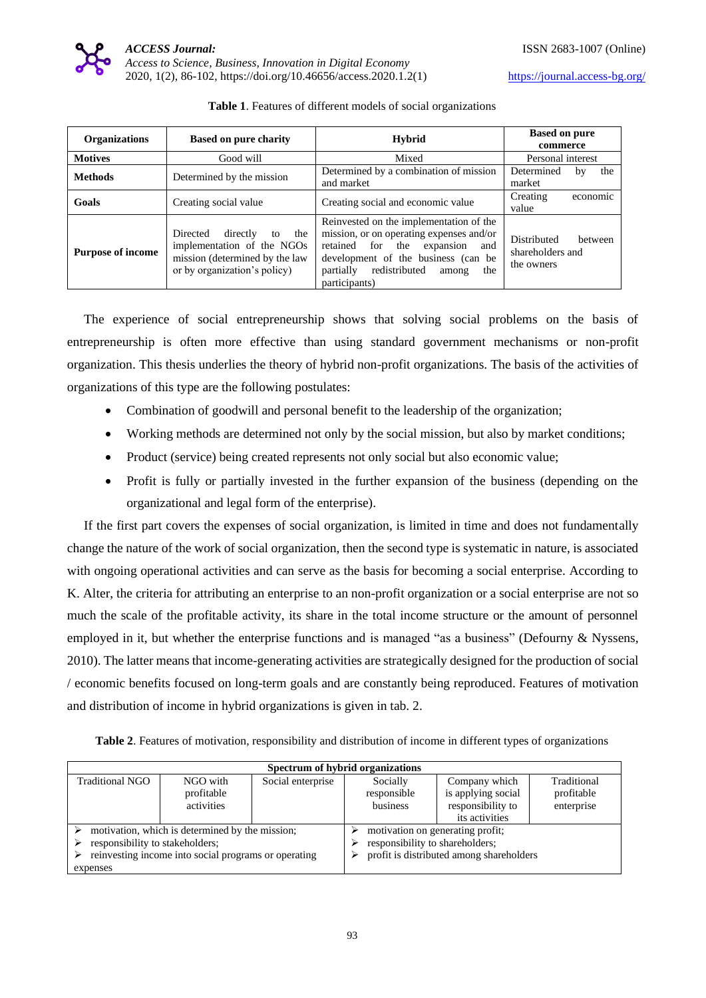

| <b>Organizations</b>           | <b>Based on pure charity</b>                                                                                                      | <b>Hybrid</b>                                                                                                                                                                                                                  | <b>Based on pure</b>                                     |  |
|--------------------------------|-----------------------------------------------------------------------------------------------------------------------------------|--------------------------------------------------------------------------------------------------------------------------------------------------------------------------------------------------------------------------------|----------------------------------------------------------|--|
|                                |                                                                                                                                   |                                                                                                                                                                                                                                | commerce                                                 |  |
| <b>Motives</b>                 | Good will                                                                                                                         | Mixed                                                                                                                                                                                                                          | Personal interest                                        |  |
| <b>Methods</b>                 | Determined by the mission                                                                                                         | Determined by a combination of mission                                                                                                                                                                                         | Determined<br>the<br>bv                                  |  |
|                                |                                                                                                                                   | and market                                                                                                                                                                                                                     | market                                                   |  |
| Goals<br>Creating social value |                                                                                                                                   | Creating social and economic value                                                                                                                                                                                             | Creating<br>economic                                     |  |
|                                |                                                                                                                                   |                                                                                                                                                                                                                                | value                                                    |  |
| <b>Purpose of income</b>       | directly<br>Directed<br>the<br>to<br>implementation of the NGOs<br>mission (determined by the law<br>or by organization's policy) | Reinvested on the implementation of the<br>mission, or on operating expenses and/or<br>retained for the<br>expansion<br>and<br>development of the business (can be<br>partially redistributed<br>the<br>among<br>participants) | Distributed<br>between<br>shareholders and<br>the owners |  |

|  |  |  |  |  | Table 1. Features of different models of social organizations |
|--|--|--|--|--|---------------------------------------------------------------|
|--|--|--|--|--|---------------------------------------------------------------|

The experience of social entrepreneurship shows that solving social problems on the basis of entrepreneurship is often more effective than using standard government mechanisms or non-profit organization. This thesis underlies the theory of hybrid non-profit organizations. The basis of the activities of organizations of this type are the following postulates:

- Combination of goodwill and personal benefit to the leadership of the organization;
- Working methods are determined not only by the social mission, but also by market conditions;
- Product (service) being created represents not only social but also economic value;
- Profit is fully or partially invested in the further expansion of the business (depending on the organizational and legal form of the enterprise).

If the first part covers the expenses of social organization, is limited in time and does not fundamentally change the nature of the work of social organization, then the second type is systematic in nature, is associated with ongoing operational activities and can serve as the basis for becoming a social enterprise. According to K. Alter, the criteria for attributing an enterprise to an non-profit organization or a social enterprise are not so much the scale of the profitable activity, its share in the total income structure or the amount of personnel employed in it, but whether the enterprise functions and is managed "as a business" (Defourny & Nyssens, 2010). The latter means that income-generating activities are strategically designed for the production of social / economic benefits focused on long-term goals and are constantly being reproduced. Features of motivation and distribution of income in hybrid organizations is given in tab. 2.

**Table 2**. Features of motivation, responsibility and distribution of income in different types of organizations

| Spectrum of hybrid organizations                     |            |                   |                                          |                    |             |  |
|------------------------------------------------------|------------|-------------------|------------------------------------------|--------------------|-------------|--|
| Traditional NGO                                      | NGO with   | Social enterprise | Socially                                 | Company which      | Traditional |  |
|                                                      | profitable |                   | responsible                              | is applying social | profitable  |  |
|                                                      | activities |                   | business                                 | responsibility to  | enterprise  |  |
|                                                      |            |                   |                                          | its activities     |             |  |
| motivation, which is determined by the mission;      |            |                   | motivation on generating profit;         |                    |             |  |
| responsibility to stakeholders;                      |            |                   | responsibility to shareholders;          |                    |             |  |
| reinvesting income into social programs or operating |            |                   | profit is distributed among shareholders |                    |             |  |
| expenses                                             |            |                   |                                          |                    |             |  |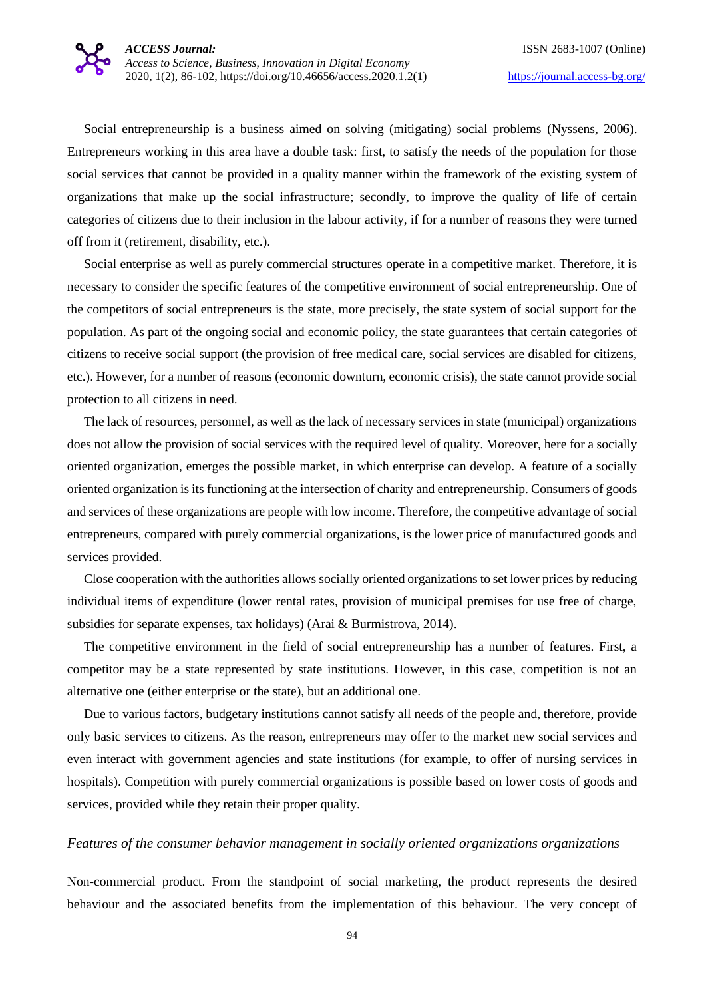Social entrepreneurship is a business aimed on solving (mitigating) social problems (Nyssens, 2006). Entrepreneurs working in this area have a double task: first, to satisfy the needs of the population for those social services that cannot be provided in a quality manner within the framework of the existing system of organizations that make up the social infrastructure; secondly, to improve the quality of life of certain categories of citizens due to their inclusion in the labour activity, if for a number of reasons they were turned off from it (retirement, disability, etc.).

Social enterprise as well as purely commercial structures operate in a competitive market. Therefore, it is necessary to consider the specific features of the competitive environment of social entrepreneurship. One of the competitors of social entrepreneurs is the state, more precisely, the state system of social support for the population. As part of the ongoing social and economic policy, the state guarantees that certain categories of citizens to receive social support (the provision of free medical care, social services are disabled for citizens, etc.). However, for a number of reasons (economic downturn, economic crisis), the state cannot provide social protection to all citizens in need.

The lack of resources, personnel, as well as the lack of necessary services in state (municipal) organizations does not allow the provision of social services with the required level of quality. Moreover, here for a socially oriented organization, emerges the possible market, in which enterprise can develop. A feature of a socially oriented organization is its functioning at the intersection of charity and entrepreneurship. Consumers of goods and services of these organizations are people with low income. Therefore, the competitive advantage of social entrepreneurs, compared with purely commercial organizations, is the lower price of manufactured goods and services provided.

Close cooperation with the authorities allows socially oriented organizations to set lower prices by reducing individual items of expenditure (lower rental rates, provision of municipal premises for use free of charge, subsidies for separate expenses, tax holidays) (Arai & Burmistrova, 2014).

The competitive environment in the field of social entrepreneurship has a number of features. First, a competitor may be a state represented by state institutions. However, in this case, competition is not an alternative one (either enterprise or the state), but an additional one.

Due to various factors, budgetary institutions cannot satisfy all needs of the people and, therefore, provide only basic services to citizens. As the reason, entrepreneurs may offer to the market new social services and even interact with government agencies and state institutions (for example, to offer of nursing services in hospitals). Competition with purely commercial organizations is possible based on lower costs of goods and services, provided while they retain their proper quality.

#### *Features of the consumer behavior management in socially oriented organizations organizations*

Non-commercial product. From the standpoint of social marketing, the product represents the desired behaviour and the associated benefits from the implementation of this behaviour. The very concept of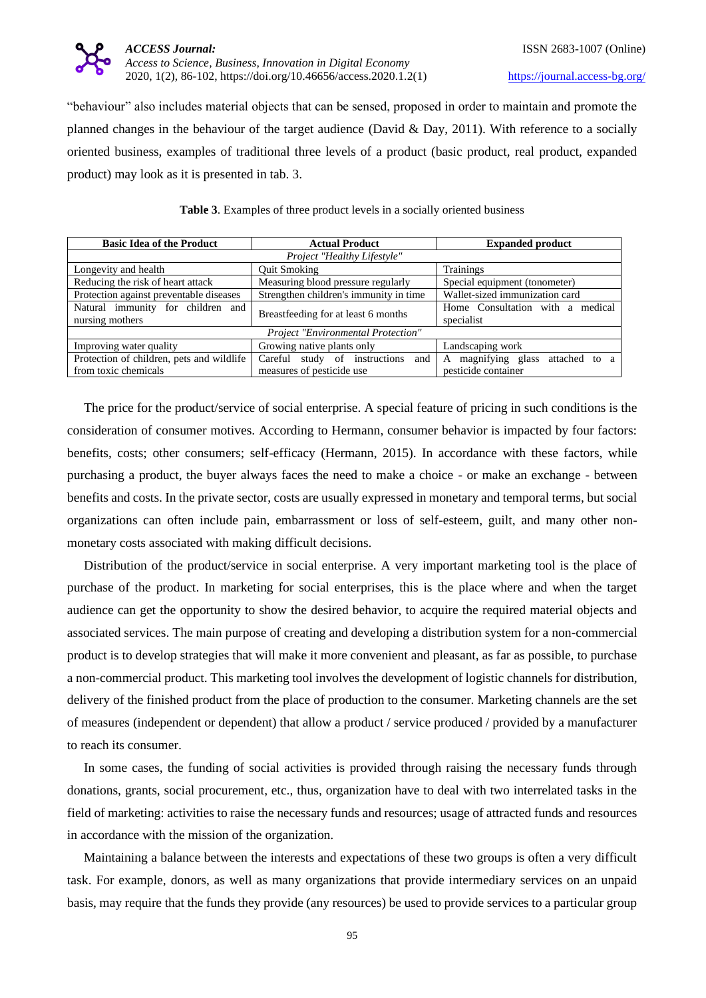

"behaviour" also includes material objects that can be sensed, proposed in order to maintain and promote the planned changes in the behaviour of the target audience (David & Day, 2011). With reference to a socially oriented business, examples of traditional three levels of a product (basic product, real product, expanded product) may look as it is presented in tab. 3.

|  | Table 3. Examples of three product levels in a socially oriented business |  |  |  |  |  |  |
|--|---------------------------------------------------------------------------|--|--|--|--|--|--|
|--|---------------------------------------------------------------------------|--|--|--|--|--|--|

| <b>Basic Idea of the Product</b>                                        | <b>Actual Product</b>                   | <b>Expanded product</b>                             |  |  |  |  |
|-------------------------------------------------------------------------|-----------------------------------------|-----------------------------------------------------|--|--|--|--|
| Project "Healthy Lifestyle"                                             |                                         |                                                     |  |  |  |  |
| Longevity and health                                                    | <b>Ouit Smoking</b>                     | Trainings                                           |  |  |  |  |
| Reducing the risk of heart attack<br>Measuring blood pressure regularly |                                         | Special equipment (tonometer)                       |  |  |  |  |
| Protection against preventable diseases                                 | Strengthen children's immunity in time  | Wallet-sized immunization card                      |  |  |  |  |
| Natural immunity for children and                                       | Breastfeeding for at least 6 months     | Home Consultation with a medical                    |  |  |  |  |
| nursing mothers                                                         |                                         | specialist                                          |  |  |  |  |
| Project "Environmental Protection"                                      |                                         |                                                     |  |  |  |  |
| Improving water quality                                                 | Growing native plants only              | Landscaping work                                    |  |  |  |  |
| Protection of children, pets and wildlife                               | study of instructions<br>Careful<br>and | magnifying glass attached to<br>A<br>$\overline{a}$ |  |  |  |  |
| from toxic chemicals                                                    | measures of pesticide use               | pesticide container                                 |  |  |  |  |

The price for the product/service of social enterprise. A special feature of pricing in such conditions is the consideration of consumer motives. According to Hermann, consumer behavior is impacted by four factors: benefits, costs; other consumers; self-efficacy (Hermann, 2015). In accordance with these factors, while purchasing a product, the buyer always faces the need to make a choice - or make an exchange - between benefits and costs. In the private sector, costs are usually expressed in monetary and temporal terms, but social organizations can often include pain, embarrassment or loss of self-esteem, guilt, and many other nonmonetary costs associated with making difficult decisions.

Distribution of the product/service in social enterprise. A very important marketing tool is the place of purchase of the product. In marketing for social enterprises, this is the place where and when the target audience can get the opportunity to show the desired behavior, to acquire the required material objects and associated services. The main purpose of creating and developing a distribution system for a non-commercial product is to develop strategies that will make it more convenient and pleasant, as far as possible, to purchase a non-commercial product. This marketing tool involves the development of logistic channels for distribution, delivery of the finished product from the place of production to the consumer. Marketing channels are the set of measures (independent or dependent) that allow a product / service produced / provided by a manufacturer to reach its consumer.

In some cases, the funding of social activities is provided through raising the necessary funds through donations, grants, social procurement, etc., thus, organization have to deal with two interrelated tasks in the field of marketing: activities to raise the necessary funds and resources; usage of attracted funds and resources in accordance with the mission of the organization.

Maintaining a balance between the interests and expectations of these two groups is often a very difficult task. For example, donors, as well as many organizations that provide intermediary services on an unpaid basis, may require that the funds they provide (any resources) be used to provide services to a particular group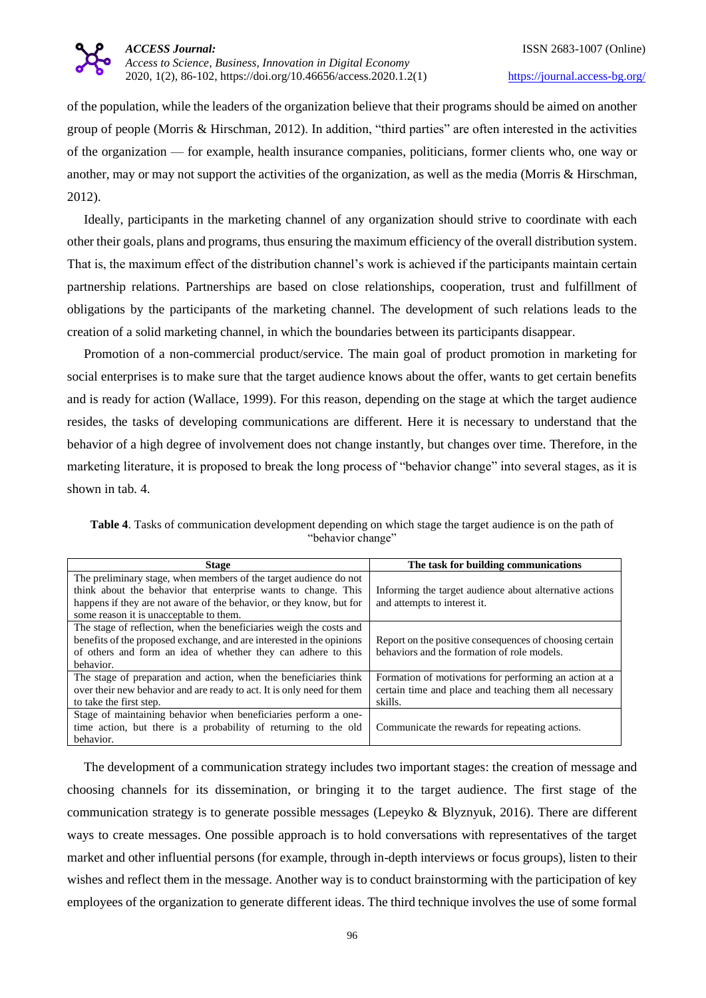

of the population, while the leaders of the organization believe that their programs should be aimed on another group of people (Morris & Hirschman, 2012). In addition, "third parties" are often interested in the activities of the organization — for example, health insurance companies, politicians, former clients who, one way or another, may or may not support the activities of the organization, as well as the media (Morris & Hirschman, 2012).

Ideally, participants in the marketing channel of any organization should strive to coordinate with each other their goals, plans and programs, thus ensuring the maximum efficiency of the overall distribution system. That is, the maximum effect of the distribution channel's work is achieved if the participants maintain certain partnership relations. Partnerships are based on close relationships, cooperation, trust and fulfillment of obligations by the participants of the marketing channel. The development of such relations leads to the creation of a solid marketing channel, in which the boundaries between its participants disappear.

Promotion of a non-commercial product/service. The main goal of product promotion in marketing for social enterprises is to make sure that the target audience knows about the offer, wants to get certain benefits and is ready for action (Wallace, 1999). For this reason, depending on the stage at which the target audience resides, the tasks of developing communications are different. Here it is necessary to understand that the behavior of a high degree of involvement does not change instantly, but changes over time. Therefore, in the marketing literature, it is proposed to break the long process of "behavior change" into several stages, as it is shown in tab. 4.

**Table 4**. Tasks of communication development depending on which stage the target audience is on the path of "behavior change"

| <b>Stage</b>                                                           | The task for building communications                    |
|------------------------------------------------------------------------|---------------------------------------------------------|
| The preliminary stage, when members of the target audience do not      |                                                         |
| think about the behavior that enterprise wants to change. This         | Informing the target audience about alternative actions |
| happens if they are not aware of the behavior, or they know, but for   | and attempts to interest it.                            |
| some reason it is unacceptable to them.                                |                                                         |
| The stage of reflection, when the beneficiaries weigh the costs and    |                                                         |
| benefits of the proposed exchange, and are interested in the opinions  | Report on the positive consequences of choosing certain |
| of others and form an idea of whether they can adhere to this          | behaviors and the formation of role models.             |
| behavior.                                                              |                                                         |
| The stage of preparation and action, when the beneficiaries think      | Formation of motivations for performing an action at a  |
| over their new behavior and are ready to act. It is only need for them | certain time and place and teaching them all necessary  |
| to take the first step.                                                | skills.                                                 |
| Stage of maintaining behavior when beneficiaries perform a one-        |                                                         |
| time action, but there is a probability of returning to the old        | Communicate the rewards for repeating actions.          |
| behavior.                                                              |                                                         |

The development of a communication strategy includes two important stages: the creation of message and choosing channels for its dissemination, or bringing it to the target audience. The first stage of the communication strategy is to generate possible messages (Lepeyko & Blyznyuk, 2016). There are different ways to create messages. One possible approach is to hold conversations with representatives of the target market and other influential persons (for example, through in-depth interviews or focus groups), listen to their wishes and reflect them in the message. Another way is to conduct brainstorming with the participation of key employees of the organization to generate different ideas. The third technique involves the use of some formal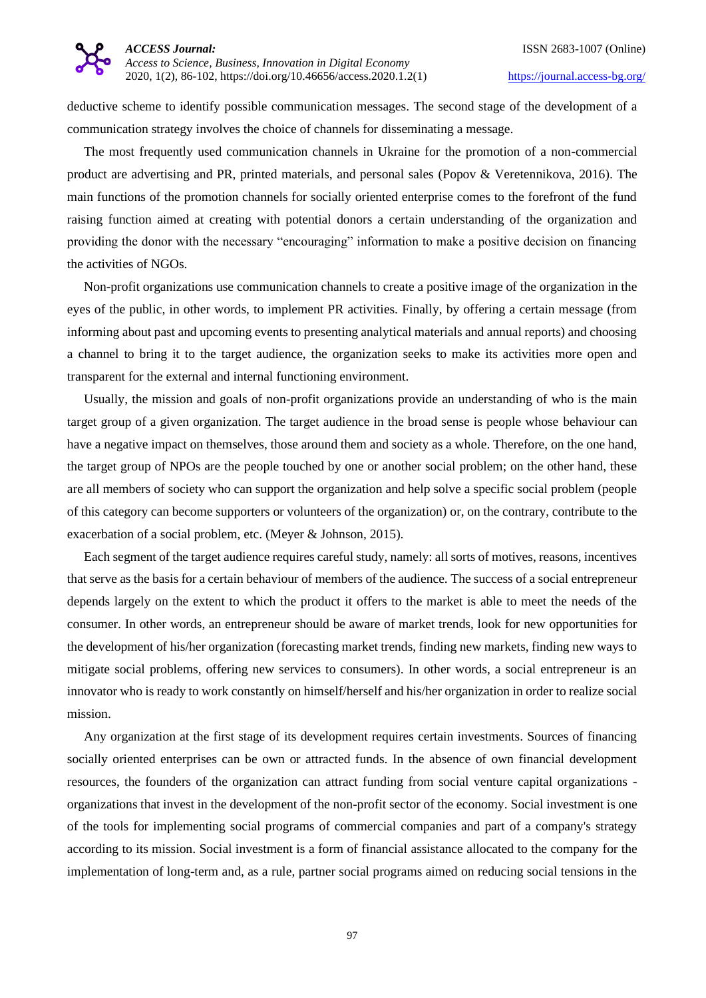

deductive scheme to identify possible communication messages. The second stage of the development of a communication strategy involves the choice of channels for disseminating a message.

The most frequently used communication channels in Ukraine for the promotion of a non-commercial product are advertising and PR, printed materials, and personal sales (Popov & Veretennikova, 2016). The main functions of the promotion channels for socially oriented enterprise comes to the forefront of the fund raising function aimed at creating with potential donors a certain understanding of the organization and providing the donor with the necessary "encouraging" information to make a positive decision on financing the activities of NGOs.

Non-profit organizations use communication channels to create a positive image of the organization in the eyes of the public, in other words, to implement PR activities. Finally, by offering a certain message (from informing about past and upcoming events to presenting analytical materials and annual reports) and choosing a channel to bring it to the target audience, the organization seeks to make its activities more open and transparent for the external and internal functioning environment.

Usually, the mission and goals of non-profit organizations provide an understanding of who is the main target group of a given organization. The target audience in the broad sense is people whose behaviour can have a negative impact on themselves, those around them and society as a whole. Therefore, on the one hand, the target group of NPOs are the people touched by one or another social problem; on the other hand, these are all members of society who can support the organization and help solve a specific social problem (people of this category can become supporters or volunteers of the organization) or, on the contrary, contribute to the exacerbation of a social problem, etc. (Meyer & Johnson, 2015).

Each segment of the target audience requires careful study, namely: all sorts of motives, reasons, incentives that serve as the basis for a certain behaviour of members of the audience. The success of a social entrepreneur depends largely on the extent to which the product it offers to the market is able to meet the needs of the consumer. In other words, an entrepreneur should be aware of market trends, look for new opportunities for the development of his/her organization (forecasting market trends, finding new markets, finding new ways to mitigate social problems, offering new services to consumers). In other words, a social entrepreneur is an innovator who is ready to work constantly on himself/herself and his/her organization in order to realize social mission.

Any organization at the first stage of its development requires certain investments. Sources of financing socially oriented enterprises can be own or attracted funds. In the absence of own financial development resources, the founders of the organization can attract funding from social venture capital organizations organizations that invest in the development of the non-profit sector of the economy. Social investment is one of the tools for implementing social programs of commercial companies and part of a company's strategy according to its mission. Social investment is a form of financial assistance allocated to the company for the implementation of long-term and, as a rule, partner social programs aimed on reducing social tensions in the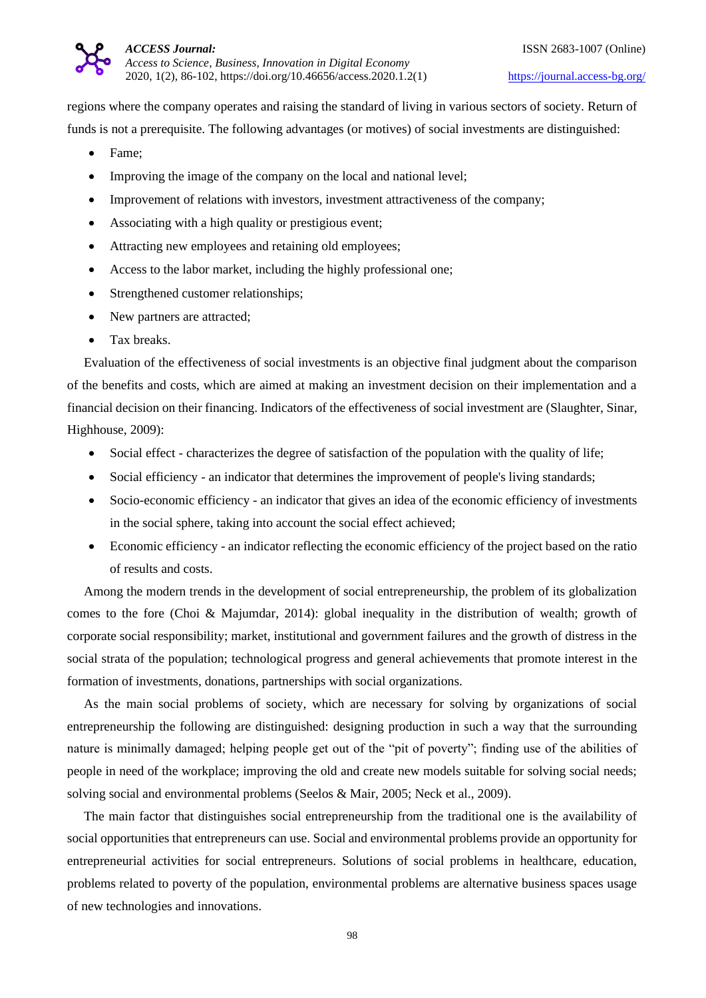

regions where the company operates and raising the standard of living in various sectors of society. Return of funds is not a prerequisite. The following advantages (or motives) of social investments are distinguished:

- Fame;
- Improving the image of the company on the local and national level;
- Improvement of relations with investors, investment attractiveness of the company;
- Associating with a high quality or prestigious event;
- Attracting new employees and retaining old employees;
- Access to the labor market, including the highly professional one;
- Strengthened customer relationships;
- New partners are attracted;
- Tax breaks.

Evaluation of the effectiveness of social investments is an objective final judgment about the comparison of the benefits and costs, which are aimed at making an investment decision on their implementation and a financial decision on their financing. Indicators of the effectiveness of social investment are (Slaughter, Sinar, Highhouse, 2009):

- Social effect characterizes the degree of satisfaction of the population with the quality of life;
- Social efficiency an indicator that determines the improvement of people's living standards;
- Socio-economic efficiency an indicator that gives an idea of the economic efficiency of investments in the social sphere, taking into account the social effect achieved;
- Economic efficiency an indicator reflecting the economic efficiency of the project based on the ratio of results and costs.

Among the modern trends in the development of social entrepreneurship, the problem of its globalization comes to the fore (Choi & Majumdar, 2014): global inequality in the distribution of wealth; growth of corporate social responsibility; market, institutional and government failures and the growth of distress in the social strata of the population; technological progress and general achievements that promote interest in the formation of investments, donations, partnerships with social organizations.

As the main social problems of society, which are necessary for solving by organizations of social entrepreneurship the following are distinguished: designing production in such a way that the surrounding nature is minimally damaged; helping people get out of the "pit of poverty"; finding use of the abilities of people in need of the workplace; improving the old and create new models suitable for solving social needs; solving social and environmental problems (Seelos & Mair, 2005; Neck et al., 2009).

The main factor that distinguishes social entrepreneurship from the traditional one is the availability of social opportunities that entrepreneurs can use. Social and environmental problems provide an opportunity for entrepreneurial activities for social entrepreneurs. Solutions of social problems in healthcare, education, problems related to poverty of the population, environmental problems are alternative business spaces usage of new technologies and innovations.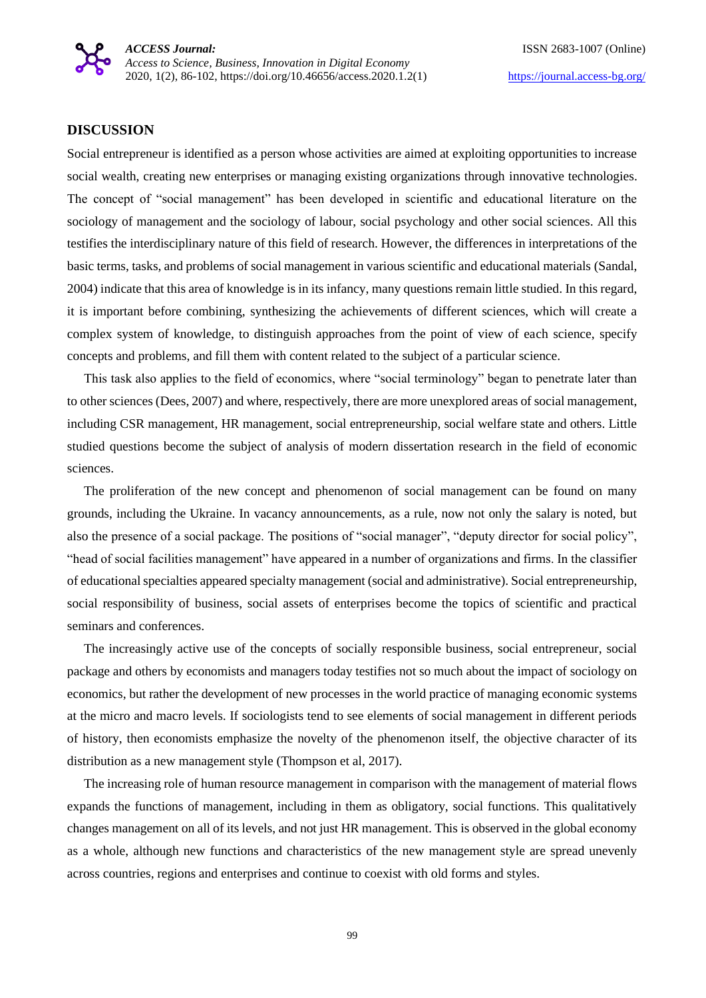## **DISCUSSION**

Social entrepreneur is identified as a person whose activities are aimed at exploiting opportunities to increase social wealth, creating new enterprises or managing existing organizations through innovative technologies. The concept of "social management" has been developed in scientific and educational literature on the sociology of management and the sociology of labour, social psychology and other social sciences. All this testifies the interdisciplinary nature of this field of research. However, the differences in interpretations of the basic terms, tasks, and problems of social management in various scientific and educational materials (Sandal, 2004) indicate that this area of knowledge is in its infancy, many questions remain little studied. In this regard, it is important before combining, synthesizing the achievements of different sciences, which will create a complex system of knowledge, to distinguish approaches from the point of view of each science, specify concepts and problems, and fill them with content related to the subject of a particular science.

This task also applies to the field of economics, where "social terminology" began to penetrate later than to other sciences (Dees, 2007) and where, respectively, there are more unexplored areas of social management, including CSR management, HR management, social entrepreneurship, social welfare state and others. Little studied questions become the subject of analysis of modern dissertation research in the field of economic sciences.

The proliferation of the new concept and phenomenon of social management can be found on many grounds, including the Ukraine. In vacancy announcements, as a rule, now not only the salary is noted, but also the presence of a social package. The positions of "social manager", "deputy director for social policy", "head of social facilities management" have appeared in a number of organizations and firms. In the classifier of educational specialties appeared specialty management (social and administrative). Social entrepreneurship, social responsibility of business, social assets of enterprises become the topics of scientific and practical seminars and conferences.

The increasingly active use of the concepts of socially responsible business, social entrepreneur, social package and others by economists and managers today testifies not so much about the impact of sociology on economics, but rather the development of new processes in the world practice of managing economic systems at the micro and macro levels. If sociologists tend to see elements of social management in different periods of history, then economists emphasize the novelty of the phenomenon itself, the objective character of its distribution as a new management style (Thompson et al, 2017).

The increasing role of human resource management in comparison with the management of material flows expands the functions of management, including in them as obligatory, social functions. This qualitatively changes management on all of its levels, and not just HR management. This is observed in the global economy as a whole, although new functions and characteristics of the new management style are spread unevenly across countries, regions and enterprises and continue to coexist with old forms and styles.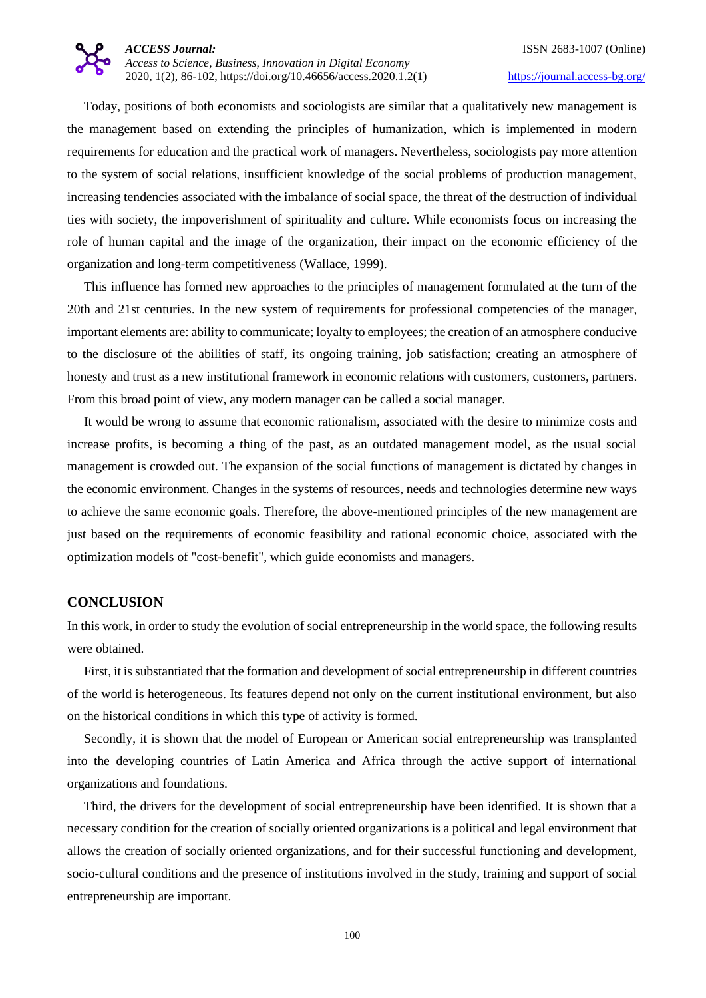Today, positions of both economists and sociologists are similar that a qualitatively new management is the management based on extending the principles of humanization, which is implemented in modern requirements for education and the practical work of managers. Nevertheless, sociologists pay more attention to the system of social relations, insufficient knowledge of the social problems of production management, increasing tendencies associated with the imbalance of social space, the threat of the destruction of individual ties with society, the impoverishment of spirituality and culture. While economists focus on increasing the role of human capital and the image of the organization, their impact on the economic efficiency of the organization and long-term competitiveness (Wallace, 1999).

This influence has formed new approaches to the principles of management formulated at the turn of the 20th and 21st centuries. In the new system of requirements for professional competencies of the manager, important elements are: ability to communicate; loyalty to employees; the creation of an atmosphere conducive to the disclosure of the abilities of staff, its ongoing training, job satisfaction; creating an atmosphere of honesty and trust as a new institutional framework in economic relations with customers, customers, partners. From this broad point of view, any modern manager can be called a social manager.

It would be wrong to assume that economic rationalism, associated with the desire to minimize costs and increase profits, is becoming a thing of the past, as an outdated management model, as the usual social management is crowded out. The expansion of the social functions of management is dictated by changes in the economic environment. Changes in the systems of resources, needs and technologies determine new ways to achieve the same economic goals. Therefore, the above-mentioned principles of the new management are just based on the requirements of economic feasibility and rational economic choice, associated with the optimization models of "cost-benefit", which guide economists and managers.

#### **CONCLUSION**

In this work, in order to study the evolution of social entrepreneurship in the world space, the following results were obtained.

First, it is substantiated that the formation and development of social entrepreneurship in different countries of the world is heterogeneous. Its features depend not only on the current institutional environment, but also on the historical conditions in which this type of activity is formed.

Secondly, it is shown that the model of European or American social entrepreneurship was transplanted into the developing countries of Latin America and Africa through the active support of international organizations and foundations.

Third, the drivers for the development of social entrepreneurship have been identified. It is shown that a necessary condition for the creation of socially oriented organizations is a political and legal environment that allows the creation of socially oriented organizations, and for their successful functioning and development, socio-cultural conditions and the presence of institutions involved in the study, training and support of social entrepreneurship are important.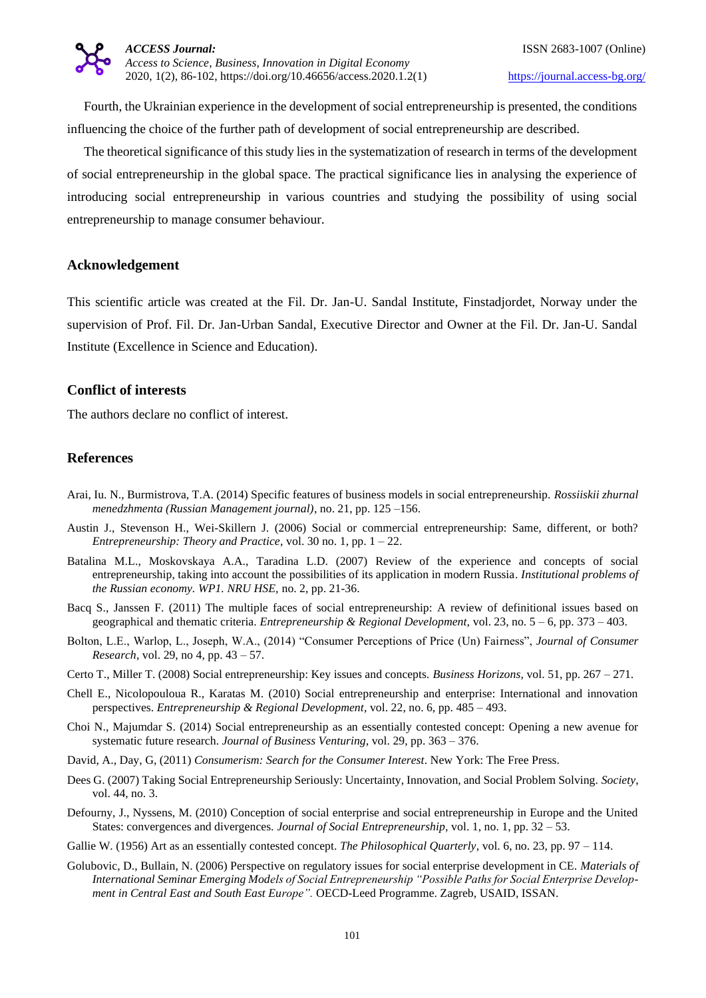Fourth, the Ukrainian experience in the development of social entrepreneurship is presented, the conditions influencing the choice of the further path of development of social entrepreneurship are described.

The theoretical significance of this study lies in the systematization of research in terms of the development of social entrepreneurship in the global space. The practical significance lies in analysing the experience of introducing social entrepreneurship in various countries and studying the possibility of using social entrepreneurship to manage consumer behaviour.

# **Acknowledgement**

This scientific article was created at the Fil. Dr. Jan-U. Sandal Institute, Finstadjordet, Norway under the supervision of Prof. Fil. Dr. Jan-Urban Sandal, Executive Director and Owner at the Fil. Dr. Jan-U. Sandal Institute (Excellence in Science and Education).

# **Conflict of interests**

The authors declare no conflict of interest.

# **References**

- Arai, Iu. N., Burmistrova, T.A. (2014) Specific features of business models in social entrepreneurship. *Rossiiskii zhurnal menedzhmenta (Russian Management journal)*, no. 21, pp. 125 –156.
- Austin J., Stevenson H., Wei-Skillern J. (2006) Social or commercial entrepreneurship: Same, different, or both? *Entrepreneurship: Theory and Practice*, vol. 30 no. 1, pp. 1 – 22.
- Batalina M.L., Moskovskaya A.A., Taradina L.D. (2007) Review of the experience and concepts of social entrepreneurship, taking into account the possibilities of its application in modern Russia. *Institutional problems of the Russian economy. WP1. NRU HSE,* no. 2, pp. 21-36.
- Bacq S., Janssen F. (2011) The multiple faces of social entrepreneurship: A review of definitional issues based on geographical and thematic criteria. *Entrepreneurship & Regional Development,* vol. 23, no. 5 – 6, pp. 373 – 403.
- Bolton, L.E., Warlop, L., Joseph, W.A., (2014) "Consumer Perceptions of Price (Un) Fairness", *Journal of Consumer Research*, vol. 29, no 4, pp. 43 – 57.
- Certo T., Miller T. (2008) Social entrepreneurship: Key issues and concepts. *Business Horizons*, vol. 51, pp. 267 271.
- Chell E., Nicolopouloua R., Karatas M. (2010) Social entrepreneurship and enterprise: International and innovation perspectives. *Entrepreneurship & Regional Development*, vol. 22, no. 6, pp. 485 – 493.
- Choi N., Majumdar S. (2014) Social entrepreneurship as an essentially contested concept: Opening a new avenue for systematic future research. *Journal of Business Venturing,* vol. 29, pp. 363 – 376.
- David, A., Day, G, (2011) *Consumerism: Search for the Consumer Interest*. New York: The Free Press.
- Dees G. (2007) Taking Social Entrepreneurship Seriously: Uncertainty, Innovation, and Social Problem Solving. *Society*, vol. 44, no. 3.
- Defourny, J., Nyssens, M. (2010) Conception of social enterprise and social entrepreneurship in Europe and the United States: convergences and divergences. *Journal of Social Entrepreneurship,* vol. 1, no. 1, pp. 32 – 53.
- Gallie W. (1956) Art as an essentially contested concept. *The Philosophical Quarterly*, vol. 6, no. 23, pp. 97 114.
- Golubovic, D., Bullain, N. (2006) Perspective on regulatory issues for social enterprise development in CE. *Materials of International Seminar Emerging Models of Social Entrepreneurship "Possible Paths for Social Enterprise Development in Central East and South East Europe".* OECD-Leed Programme. Zagreb, USAID, ISSAN.